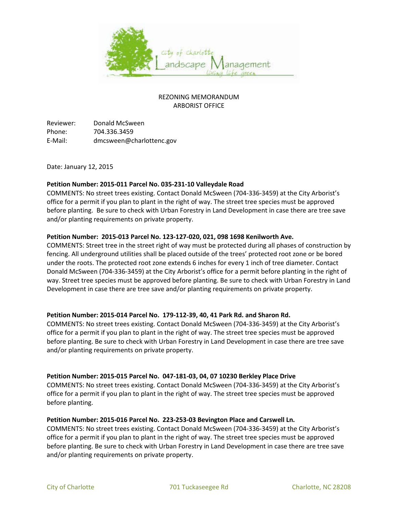

# REZONING MEMORANDUM ARBORIST OFFICE

Reviewer: Donald McSween Phone: 704.336.3459 E-Mail: dmcsween@charlottenc.gov

Date: January 12, 2015

# **Petition Number: 2015-011 Parcel No. 035-231-10 Valleydale Road**

COMMENTS: No street trees existing. Contact Donald McSween (704-336-3459) at the City Arborist's office for a permit if you plan to plant in the right of way. The street tree species must be approved before planting. Be sure to check with Urban Forestry in Land Development in case there are tree save and/or planting requirements on private property.

### **Petition Number: 2015-013 Parcel No. 123-127-020, 021, 098 1698 Kenilworth Ave.**

COMMENTS: Street tree in the street right of way must be protected during all phases of construction by fencing. All underground utilities shall be placed outside of the trees' protected root zone or be bored under the roots. The protected root zone extends 6 inches for every 1 inch of tree diameter. Contact Donald McSween (704-336-3459) at the City Arborist's office for a permit before planting in the right of way. Street tree species must be approved before planting. Be sure to check with Urban Forestry in Land Development in case there are tree save and/or planting requirements on private property.

# **Petition Number: 2015-014 Parcel No. 179-112-39, 40, 41 Park Rd. and Sharon Rd.**

COMMENTS: No street trees existing. Contact Donald McSween (704-336-3459) at the City Arborist's office for a permit if you plan to plant in the right of way. The street tree species must be approved before planting. Be sure to check with Urban Forestry in Land Development in case there are tree save and/or planting requirements on private property.

#### **Petition Number: 2015-015 Parcel No. 047-181-03, 04, 07 10230 Berkley Place Drive**

COMMENTS: No street trees existing. Contact Donald McSween (704-336-3459) at the City Arborist's office for a permit if you plan to plant in the right of way. The street tree species must be approved before planting.

#### **Petition Number: 2015-016 Parcel No. 223-253-03 Bevington Place and Carswell Ln.**

COMMENTS: No street trees existing. Contact Donald McSween (704-336-3459) at the City Arborist's office for a permit if you plan to plant in the right of way. The street tree species must be approved before planting. Be sure to check with Urban Forestry in Land Development in case there are tree save and/or planting requirements on private property.